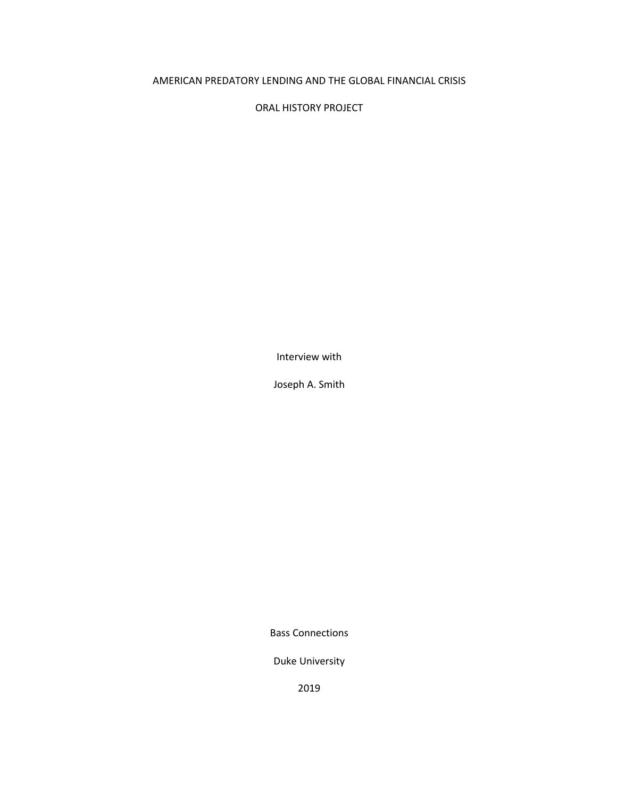## AMERICAN PREDATORY LENDING AND THE GLOBAL FINANCIAL CRISIS

ORAL HISTORY PROJECT

Interview with

Joseph A. Smith

Bass Connections

Duke University

2019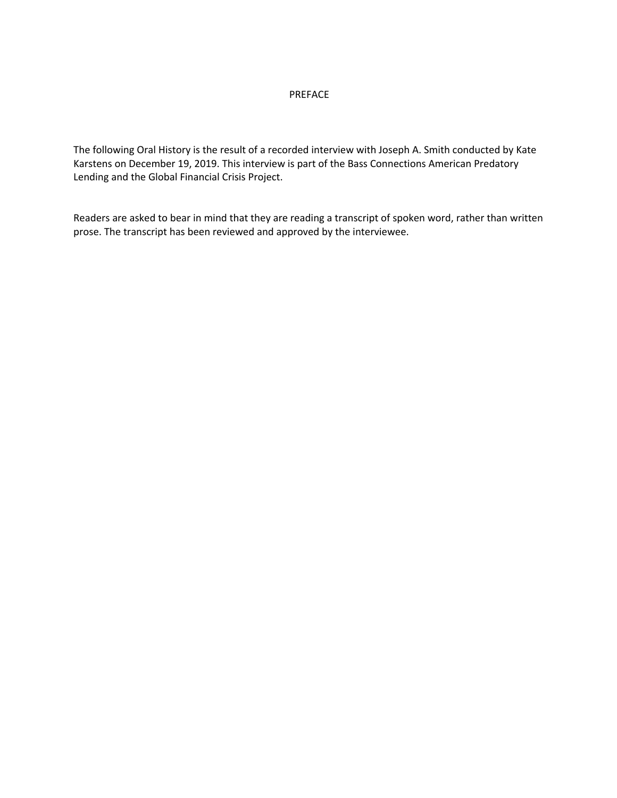## PREFACE

The following Oral History is the result of a recorded interview with Joseph A. Smith conducted by Kate Karstens on December 19, 2019. This interview is part of the Bass Connections American Predatory Lending and the Global Financial Crisis Project.

Readers are asked to bear in mind that they are reading a transcript of spoken word, rather than written prose. The transcript has been reviewed and approved by the interviewee.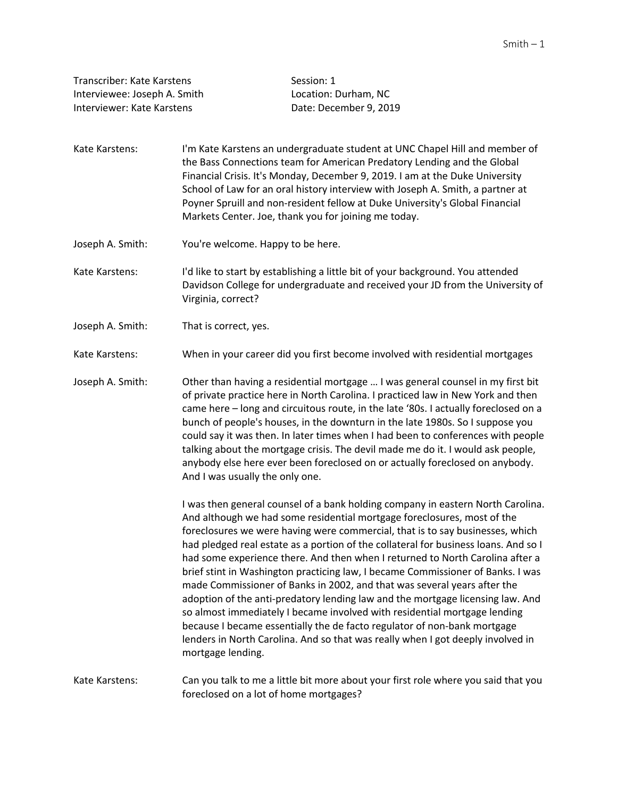| Transcriber: Kate Karstens   | Session: 1             |
|------------------------------|------------------------|
| Interviewee: Joseph A. Smith | Location: Durham, NC   |
| Interviewer: Kate Karstens   | Date: December 9, 2019 |

- Kate Karstens: I'm Kate Karstens an undergraduate student at UNC Chapel Hill and member of the Bass Connections team for American Predatory Lending and the Global Financial Crisis. It's Monday, December 9, 2019. I am at the Duke University School of Law for an oral history interview with Joseph A. Smith, a partner at Poyner Spruill and non-resident fellow at Duke University's Global Financial Markets Center. Joe, thank you for joining me today.
- Joseph A. Smith: You're welcome. Happy to be here.
- Kate Karstens: I'd like to start by establishing a little bit of your background. You attended Davidson College for undergraduate and received your JD from the University of Virginia, correct?
- Joseph A. Smith: That is correct, yes.
- Kate Karstens: When in your career did you first become involved with residential mortgages

Joseph A. Smith: Other than having a residential mortgage … I was general counsel in my first bit of private practice here in North Carolina. I practiced law in New York and then came here – long and circuitous route, in the late '80s. I actually foreclosed on a bunch of people's houses, in the downturn in the late 1980s. So I suppose you could say it was then. In later times when I had been to conferences with people talking about the mortgage crisis. The devil made me do it. I would ask people, anybody else here ever been foreclosed on or actually foreclosed on anybody. And I was usually the only one.

> I was then general counsel of a bank holding company in eastern North Carolina. And although we had some residential mortgage foreclosures, most of the foreclosures we were having were commercial, that is to say businesses, which had pledged real estate as a portion of the collateral for business loans. And so I had some experience there. And then when I returned to North Carolina after a brief stint in Washington practicing law, I became Commissioner of Banks. I was made Commissioner of Banks in 2002, and that was several years after the adoption of the anti-predatory lending law and the mortgage licensing law. And so almost immediately I became involved with residential mortgage lending because I became essentially the de facto regulator of non-bank mortgage lenders in North Carolina. And so that was really when I got deeply involved in mortgage lending.

Kate Karstens: Can you talk to me a little bit more about your first role where you said that you foreclosed on a lot of home mortgages?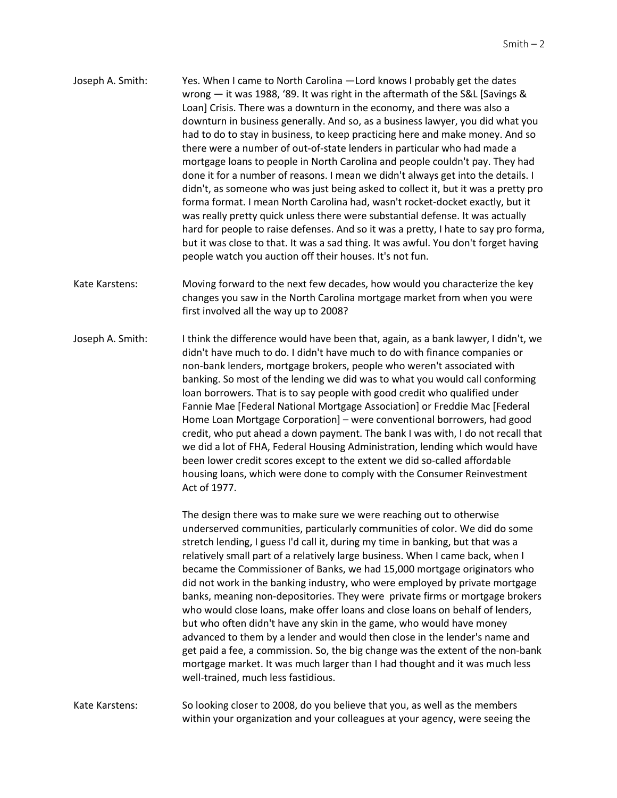- Joseph A. Smith: Yes. When I came to North Carolina —Lord knows I probably get the dates wrong — it was 1988, '89. It was right in the aftermath of the S&L [Savings & Loan] Crisis. There was a downturn in the economy, and there was also a downturn in business generally. And so, as a business lawyer, you did what you had to do to stay in business, to keep practicing here and make money. And so there were a number of out-of-state lenders in particular who had made a mortgage loans to people in North Carolina and people couldn't pay. They had done it for a number of reasons. I mean we didn't always get into the details. I didn't, as someone who was just being asked to collect it, but it was a pretty pro forma format. I mean North Carolina had, wasn't rocket-docket exactly, but it was really pretty quick unless there were substantial defense. It was actually hard for people to raise defenses. And so it was a pretty, I hate to say pro forma, but it was close to that. It was a sad thing. It was awful. You don't forget having people watch you auction off their houses. It's not fun.
- Kate Karstens: Moving forward to the next few decades, how would you characterize the key changes you saw in the North Carolina mortgage market from when you were first involved all the way up to 2008?
- Joseph A. Smith: I think the difference would have been that, again, as a bank lawyer, I didn't, we didn't have much to do. I didn't have much to do with finance companies or non-bank lenders, mortgage brokers, people who weren't associated with banking. So most of the lending we did was to what you would call conforming loan borrowers. That is to say people with good credit who qualified under Fannie Mae [Federal National Mortgage Association] or Freddie Mac [Federal Home Loan Mortgage Corporation] – were conventional borrowers, had good credit, who put ahead a down payment. The bank I was with, I do not recall that we did a lot of FHA, Federal Housing Administration, lending which would have been lower credit scores except to the extent we did so-called affordable housing loans, which were done to comply with the Consumer Reinvestment Act of 1977.

The design there was to make sure we were reaching out to otherwise underserved communities, particularly communities of color. We did do some stretch lending, I guess I'd call it, during my time in banking, but that was a relatively small part of a relatively large business. When I came back, when I became the Commissioner of Banks, we had 15,000 mortgage originators who did not work in the banking industry, who were employed by private mortgage banks, meaning non-depositories. They were private firms or mortgage brokers who would close loans, make offer loans and close loans on behalf of lenders, but who often didn't have any skin in the game, who would have money advanced to them by a lender and would then close in the lender's name and get paid a fee, a commission. So, the big change was the extent of the non-bank mortgage market. It was much larger than I had thought and it was much less well-trained, much less fastidious.

Kate Karstens: So looking closer to 2008, do you believe that you, as well as the members within your organization and your colleagues at your agency, were seeing the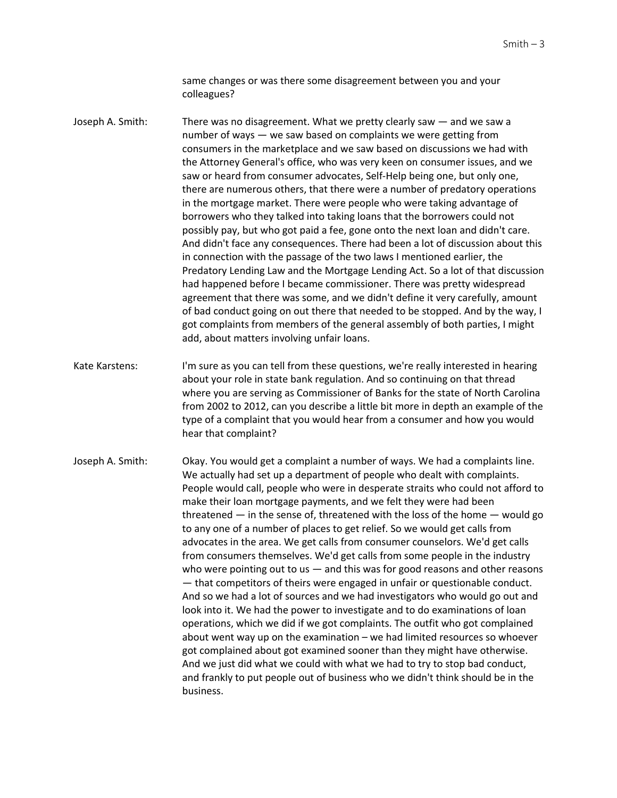same changes or was there some disagreement between you and your colleagues?

Joseph A. Smith: There was no disagreement. What we pretty clearly saw — and we saw a number of ways — we saw based on complaints we were getting from consumers in the marketplace and we saw based on discussions we had with the Attorney General's office, who was very keen on consumer issues, and we saw or heard from consumer advocates, Self-Help being one, but only one, there are numerous others, that there were a number of predatory operations in the mortgage market. There were people who were taking advantage of borrowers who they talked into taking loans that the borrowers could not possibly pay, but who got paid a fee, gone onto the next loan and didn't care. And didn't face any consequences. There had been a lot of discussion about this in connection with the passage of the two laws I mentioned earlier, the Predatory Lending Law and the Mortgage Lending Act. So a lot of that discussion had happened before I became commissioner. There was pretty widespread agreement that there was some, and we didn't define it very carefully, amount of bad conduct going on out there that needed to be stopped. And by the way, I got complaints from members of the general assembly of both parties, I might add, about matters involving unfair loans.

Kate Karstens: I'm sure as you can tell from these questions, we're really interested in hearing about your role in state bank regulation. And so continuing on that thread where you are serving as Commissioner of Banks for the state of North Carolina from 2002 to 2012, can you describe a little bit more in depth an example of the type of a complaint that you would hear from a consumer and how you would hear that complaint?

Joseph A. Smith: Okay. You would get a complaint a number of ways. We had a complaints line. We actually had set up a department of people who dealt with complaints. People would call, people who were in desperate straits who could not afford to make their loan mortgage payments, and we felt they were had been threatened — in the sense of, threatened with the loss of the home — would go to any one of a number of places to get relief. So we would get calls from advocates in the area. We get calls from consumer counselors. We'd get calls from consumers themselves. We'd get calls from some people in the industry who were pointing out to us  $-$  and this was for good reasons and other reasons — that competitors of theirs were engaged in unfair or questionable conduct. And so we had a lot of sources and we had investigators who would go out and look into it. We had the power to investigate and to do examinations of loan operations, which we did if we got complaints. The outfit who got complained about went way up on the examination – we had limited resources so whoever got complained about got examined sooner than they might have otherwise. And we just did what we could with what we had to try to stop bad conduct, and frankly to put people out of business who we didn't think should be in the business.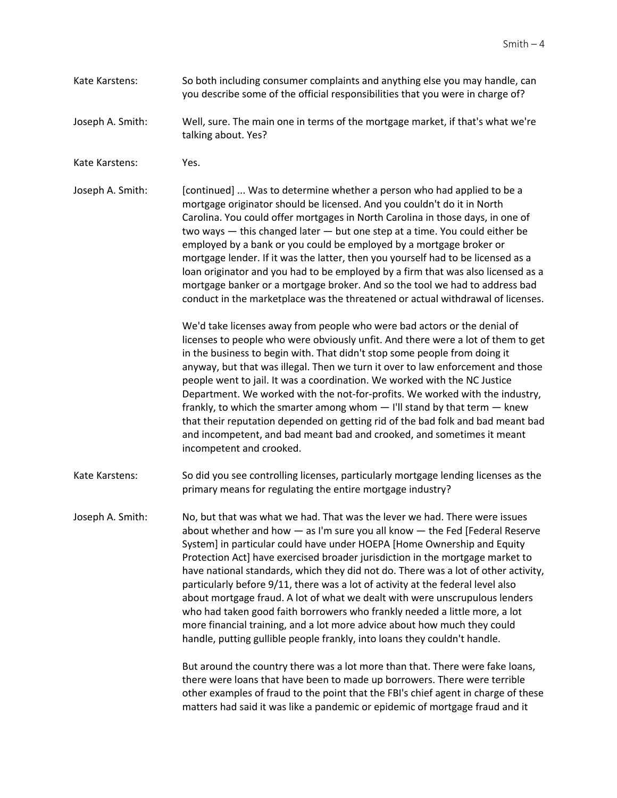- Kate Karstens: So both including consumer complaints and anything else you may handle, can you describe some of the official responsibilities that you were in charge of?
- Joseph A. Smith: Well, sure. The main one in terms of the mortgage market, if that's what we're talking about. Yes?
- Kate Karstens: Yes.

Joseph A. Smith: [continued] ... Was to determine whether a person who had applied to be a mortgage originator should be licensed. And you couldn't do it in North Carolina. You could offer mortgages in North Carolina in those days, in one of two ways — this changed later — but one step at a time. You could either be employed by a bank or you could be employed by a mortgage broker or mortgage lender. If it was the latter, then you yourself had to be licensed as a loan originator and you had to be employed by a firm that was also licensed as a mortgage banker or a mortgage broker. And so the tool we had to address bad conduct in the marketplace was the threatened or actual withdrawal of licenses.

> We'd take licenses away from people who were bad actors or the denial of licenses to people who were obviously unfit. And there were a lot of them to get in the business to begin with. That didn't stop some people from doing it anyway, but that was illegal. Then we turn it over to law enforcement and those people went to jail. It was a coordination. We worked with the NC Justice Department. We worked with the not-for-profits. We worked with the industry, frankly, to which the smarter among whom — I'll stand by that term — knew that their reputation depended on getting rid of the bad folk and bad meant bad and incompetent, and bad meant bad and crooked, and sometimes it meant incompetent and crooked.

Kate Karstens: So did you see controlling licenses, particularly mortgage lending licenses as the primary means for regulating the entire mortgage industry?

Joseph A. Smith: No, but that was what we had. That was the lever we had. There were issues about whether and how — as I'm sure you all know — the Fed [Federal Reserve System] in particular could have under HOEPA [Home Ownership and Equity Protection Act] have exercised broader jurisdiction in the mortgage market to have national standards, which they did not do. There was a lot of other activity, particularly before 9/11, there was a lot of activity at the federal level also about mortgage fraud. A lot of what we dealt with were unscrupulous lenders who had taken good faith borrowers who frankly needed a little more, a lot more financial training, and a lot more advice about how much they could handle, putting gullible people frankly, into loans they couldn't handle.

> But around the country there was a lot more than that. There were fake loans, there were loans that have been to made up borrowers. There were terrible other examples of fraud to the point that the FBI's chief agent in charge of these matters had said it was like a pandemic or epidemic of mortgage fraud and it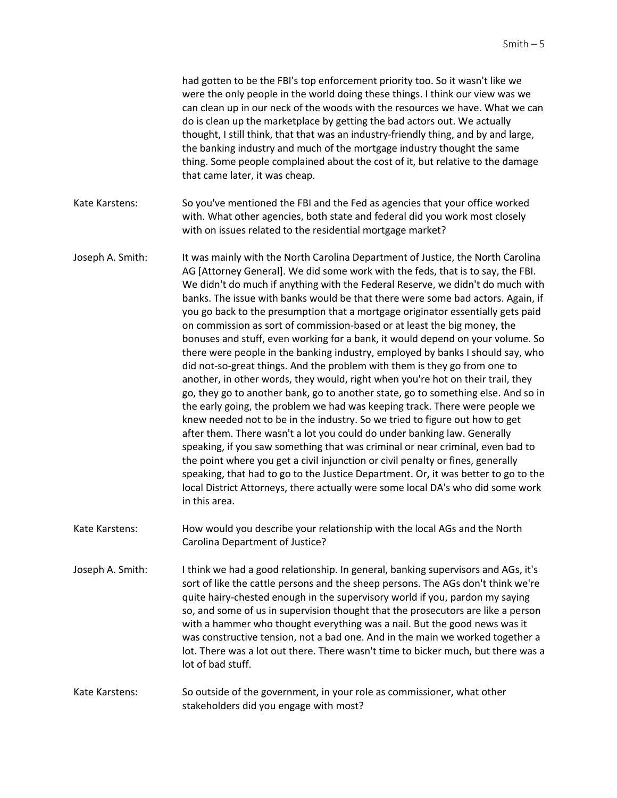had gotten to be the FBI's top enforcement priority too. So it wasn't like we were the only people in the world doing these things. I think our view was we can clean up in our neck of the woods with the resources we have. What we can do is clean up the marketplace by getting the bad actors out. We actually thought, I still think, that that was an industry-friendly thing, and by and large, the banking industry and much of the mortgage industry thought the same thing. Some people complained about the cost of it, but relative to the damage that came later, it was cheap. Kate Karstens: So you've mentioned the FBI and the Fed as agencies that your office worked with. What other agencies, both state and federal did you work most closely with on issues related to the residential mortgage market? Joseph A. Smith: It was mainly with the North Carolina Department of Justice, the North Carolina AG [Attorney General]. We did some work with the feds, that is to say, the FBI. We didn't do much if anything with the Federal Reserve, we didn't do much with banks. The issue with banks would be that there were some bad actors. Again, if you go back to the presumption that a mortgage originator essentially gets paid on commission as sort of commission-based or at least the big money, the bonuses and stuff, even working for a bank, it would depend on your volume. So there were people in the banking industry, employed by banks I should say, who did not-so-great things. And the problem with them is they go from one to another, in other words, they would, right when you're hot on their trail, they go, they go to another bank, go to another state, go to something else. And so in the early going, the problem we had was keeping track. There were people we knew needed not to be in the industry. So we tried to figure out how to get after them. There wasn't a lot you could do under banking law. Generally speaking, if you saw something that was criminal or near criminal, even bad to the point where you get a civil injunction or civil penalty or fines, generally speaking, that had to go to the Justice Department. Or, it was better to go to the local District Attorneys, there actually were some local DA's who did some work in this area. Kate Karstens: How would you describe your relationship with the local AGs and the North Carolina Department of Justice? Joseph A. Smith: I think we had a good relationship. In general, banking supervisors and AGs, it's sort of like the cattle persons and the sheep persons. The AGs don't think we're quite hairy-chested enough in the supervisory world if you, pardon my saying so, and some of us in supervision thought that the prosecutors are like a person with a hammer who thought everything was a nail. But the good news was it was constructive tension, not a bad one. And in the main we worked together a lot. There was a lot out there. There wasn't time to bicker much, but there was a lot of bad stuff. Kate Karstens: So outside of the government, in your role as commissioner, what other stakeholders did you engage with most?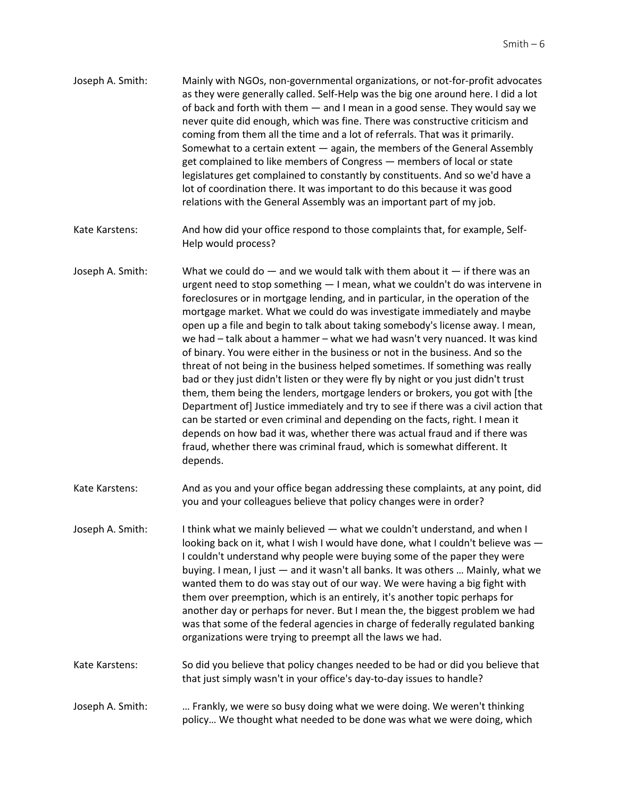| Joseph A. Smith: | Mainly with NGOs, non-governmental organizations, or not-for-profit advocates     |
|------------------|-----------------------------------------------------------------------------------|
|                  | as they were generally called. Self-Help was the big one around here. I did a lot |
|                  | of back and forth with them $-$ and I mean in a good sense. They would say we     |
|                  | never quite did enough, which was fine. There was constructive criticism and      |
|                  | coming from them all the time and a lot of referrals. That was it primarily.      |
|                  | Somewhat to a certain extent - again, the members of the General Assembly         |
|                  | get complained to like members of Congress – members of local or state            |
|                  | legislatures get complained to constantly by constituents. And so we'd have a     |
|                  | lot of coordination there. It was important to do this because it was good        |
|                  | relations with the General Assembly was an important part of my job.              |

- Kate Karstens: And how did your office respond to those complaints that, for example, Self-Help would process?
- Joseph A. Smith: What we could do  $-$  and we would talk with them about it  $-$  if there was an urgent need to stop something — I mean, what we couldn't do was intervene in foreclosures or in mortgage lending, and in particular, in the operation of the mortgage market. What we could do was investigate immediately and maybe open up a file and begin to talk about taking somebody's license away. I mean, we had – talk about a hammer – what we had wasn't very nuanced. It was kind of binary. You were either in the business or not in the business. And so the threat of not being in the business helped sometimes. If something was really bad or they just didn't listen or they were fly by night or you just didn't trust them, them being the lenders, mortgage lenders or brokers, you got with [the Department of] Justice immediately and try to see if there was a civil action that can be started or even criminal and depending on the facts, right. I mean it depends on how bad it was, whether there was actual fraud and if there was fraud, whether there was criminal fraud, which is somewhat different. It depends.
- Kate Karstens: And as you and your office began addressing these complaints, at any point, did you and your colleagues believe that policy changes were in order?
- Joseph A. Smith: I think what we mainly believed what we couldn't understand, and when I looking back on it, what I wish I would have done, what I couldn't believe was — I couldn't understand why people were buying some of the paper they were buying. I mean, I just — and it wasn't all banks. It was others … Mainly, what we wanted them to do was stay out of our way. We were having a big fight with them over preemption, which is an entirely, it's another topic perhaps for another day or perhaps for never. But I mean the, the biggest problem we had was that some of the federal agencies in charge of federally regulated banking organizations were trying to preempt all the laws we had.
- Kate Karstens: So did you believe that policy changes needed to be had or did you believe that that just simply wasn't in your office's day-to-day issues to handle?
- Joseph A. Smith: … Frankly, we were so busy doing what we were doing. We weren't thinking policy… We thought what needed to be done was what we were doing, which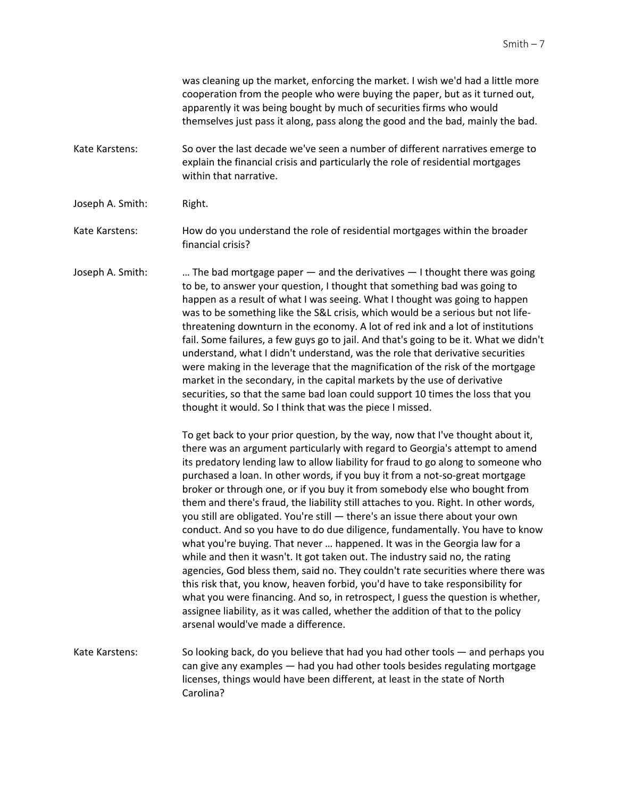was cleaning up the market, enforcing the market. I wish we'd had a little more cooperation from the people who were buying the paper, but as it turned out, apparently it was being bought by much of securities firms who would themselves just pass it along, pass along the good and the bad, mainly the bad.

- Kate Karstens: So over the last decade we've seen a number of different narratives emerge to explain the financial crisis and particularly the role of residential mortgages within that narrative.
- Joseph A. Smith: Right.

Kate Karstens: How do you understand the role of residential mortgages within the broader financial crisis?

Joseph A. Smith: … The bad mortgage paper — and the derivatives — I thought there was going to be, to answer your question, I thought that something bad was going to happen as a result of what I was seeing. What I thought was going to happen was to be something like the S&L crisis, which would be a serious but not lifethreatening downturn in the economy. A lot of red ink and a lot of institutions fail. Some failures, a few guys go to jail. And that's going to be it. What we didn't understand, what I didn't understand, was the role that derivative securities were making in the leverage that the magnification of the risk of the mortgage market in the secondary, in the capital markets by the use of derivative securities, so that the same bad loan could support 10 times the loss that you thought it would. So I think that was the piece I missed.

> To get back to your prior question, by the way, now that I've thought about it, there was an argument particularly with regard to Georgia's attempt to amend its predatory lending law to allow liability for fraud to go along to someone who purchased a loan. In other words, if you buy it from a not-so-great mortgage broker or through one, or if you buy it from somebody else who bought from them and there's fraud, the liability still attaches to you. Right. In other words, you still are obligated. You're still — there's an issue there about your own conduct. And so you have to do due diligence, fundamentally. You have to know what you're buying. That never … happened. It was in the Georgia law for a while and then it wasn't. It got taken out. The industry said no, the rating agencies, God bless them, said no. They couldn't rate securities where there was this risk that, you know, heaven forbid, you'd have to take responsibility for what you were financing. And so, in retrospect, I guess the question is whether, assignee liability, as it was called, whether the addition of that to the policy arsenal would've made a difference.

Kate Karstens: So looking back, do you believe that had you had other tools — and perhaps you can give any examples — had you had other tools besides regulating mortgage licenses, things would have been different, at least in the state of North Carolina?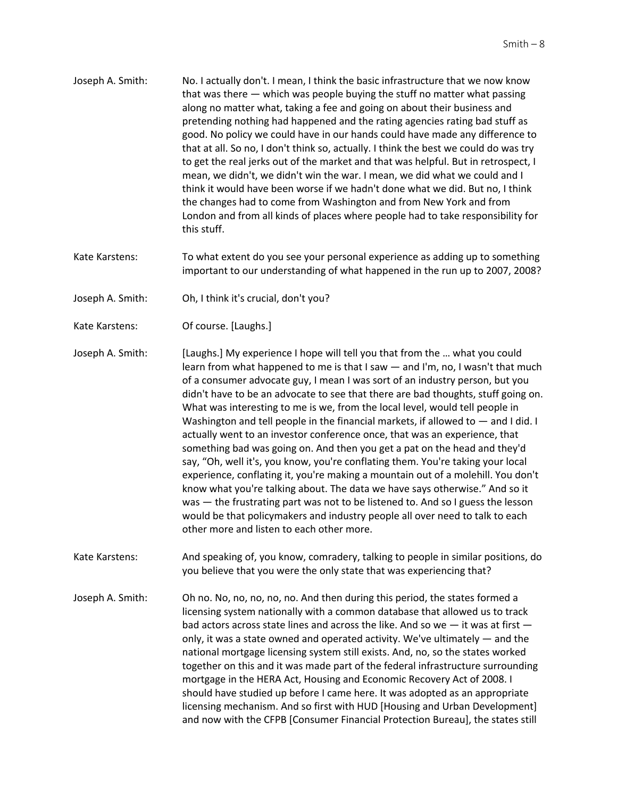- Joseph A. Smith: No. I actually don't. I mean, I think the basic infrastructure that we now know that was there — which was people buying the stuff no matter what passing along no matter what, taking a fee and going on about their business and pretending nothing had happened and the rating agencies rating bad stuff as good. No policy we could have in our hands could have made any difference to that at all. So no, I don't think so, actually. I think the best we could do was try to get the real jerks out of the market and that was helpful. But in retrospect, I mean, we didn't, we didn't win the war. I mean, we did what we could and I think it would have been worse if we hadn't done what we did. But no, I think the changes had to come from Washington and from New York and from London and from all kinds of places where people had to take responsibility for this stuff.
- Kate Karstens: To what extent do you see your personal experience as adding up to something important to our understanding of what happened in the run up to 2007, 2008?
- Joseph A. Smith: Oh, I think it's crucial, don't you?
- Kate Karstens: Of course. [Laughs.]

Joseph A. Smith: [Laughs.] My experience I hope will tell you that from the … what you could learn from what happened to me is that I saw — and I'm, no, I wasn't that much of a consumer advocate guy, I mean I was sort of an industry person, but you didn't have to be an advocate to see that there are bad thoughts, stuff going on. What was interesting to me is we, from the local level, would tell people in Washington and tell people in the financial markets, if allowed to  $-$  and I did. I actually went to an investor conference once, that was an experience, that something bad was going on. And then you get a pat on the head and they'd say, "Oh, well it's, you know, you're conflating them. You're taking your local experience, conflating it, you're making a mountain out of a molehill. You don't know what you're talking about. The data we have says otherwise." And so it was — the frustrating part was not to be listened to. And so I guess the lesson would be that policymakers and industry people all over need to talk to each other more and listen to each other more.

Kate Karstens: And speaking of, you know, comradery, talking to people in similar positions, do you believe that you were the only state that was experiencing that?

Joseph A. Smith: Oh no. No, no, no, no, no. And then during this period, the states formed a licensing system nationally with a common database that allowed us to track bad actors across state lines and across the like. And so we — it was at first only, it was a state owned and operated activity. We've ultimately — and the national mortgage licensing system still exists. And, no, so the states worked together on this and it was made part of the federal infrastructure surrounding mortgage in the HERA Act, Housing and Economic Recovery Act of 2008. I should have studied up before I came here. It was adopted as an appropriate licensing mechanism. And so first with HUD [Housing and Urban Development] and now with the CFPB [Consumer Financial Protection Bureau], the states still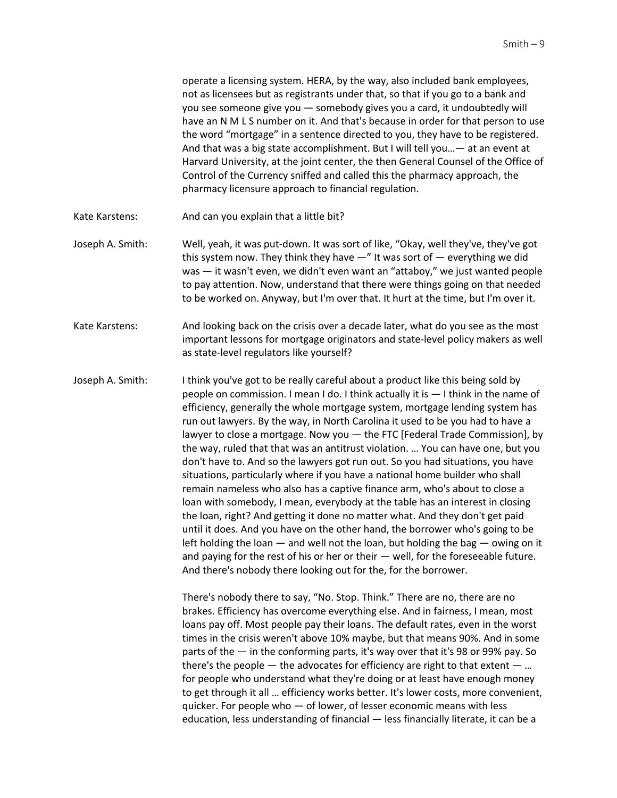operate a licensing system. HERA, by the way, also included bank employees, not as licensees but as registrants under that, so that if you go to a bank and you see someone give you — somebody gives you a card, it undoubtedly will have an N M L S number on it. And that's because in order for that person to use the word "mortgage" in a sentence directed to you, they have to be registered. And that was a big state accomplishment. But I will tell you…— at an event at Harvard University, at the joint center, the then General Counsel of the Office of Control of the Currency sniffed and called this the pharmacy approach, the pharmacy licensure approach to financial regulation.

- Kate Karstens: And can you explain that a little bit?
- Joseph A. Smith: Well, yeah, it was put-down. It was sort of like, "Okay, well they've, they've got this system now. They think they have  $-$ " It was sort of  $-$  everything we did was — it wasn't even, we didn't even want an "attaboy," we just wanted people to pay attention. Now, understand that there were things going on that needed to be worked on. Anyway, but I'm over that. It hurt at the time, but I'm over it.
- Kate Karstens: And looking back on the crisis over a decade later, what do you see as the most important lessons for mortgage originators and state-level policy makers as well as state-level regulators like yourself?
- Joseph A. Smith: I think you've got to be really careful about a product like this being sold by people on commission. I mean I do. I think actually it is — I think in the name of efficiency, generally the whole mortgage system, mortgage lending system has run out lawyers. By the way, in North Carolina it used to be you had to have a lawyer to close a mortgage. Now you — the FTC [Federal Trade Commission], by the way, ruled that that was an antitrust violation. … You can have one, but you don't have to. And so the lawyers got run out. So you had situations, you have situations, particularly where if you have a national home builder who shall remain nameless who also has a captive finance arm, who's about to close a loan with somebody, I mean, everybody at the table has an interest in closing the loan, right? And getting it done no matter what. And they don't get paid until it does. And you have on the other hand, the borrower who's going to be left holding the loan — and well not the loan, but holding the bag — owing on it and paying for the rest of his or her or their — well, for the foreseeable future. And there's nobody there looking out for the, for the borrower.

There's nobody there to say, "No. Stop. Think." There are no, there are no brakes. Efficiency has overcome everything else. And in fairness, I mean, most loans pay off. Most people pay their loans. The default rates, even in the worst times in the crisis weren't above 10% maybe, but that means 90%. And in some parts of the — in the conforming parts, it's way over that it's 98 or 99% pay. So there's the people  $-$  the advocates for efficiency are right to that extent  $-$  ... for people who understand what they're doing or at least have enough money to get through it all … efficiency works better. It's lower costs, more convenient, quicker. For people who — of lower, of lesser economic means with less education, less understanding of financial — less financially literate, it can be a